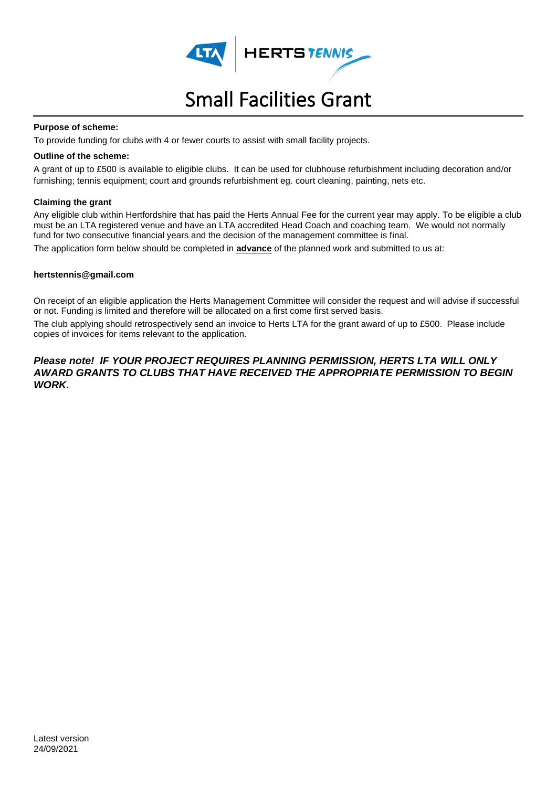

# HERTSTENNIS

# Small Facilities Grant

#### **Purpose of scheme:**

To provide funding for clubs with 4 or fewer courts to assist with small facility projects.

#### **Outline of the scheme:**

A grant of up to £500 is available to eligible clubs. It can be used for clubhouse refurbishment including decoration and/or furnishing; tennis equipment; court and grounds refurbishment eg. court cleaning, painting, nets etc.

#### **Claiming the grant**

Any eligible club within Hertfordshire that has paid the Herts Annual Fee for the current year may apply. To be eligible a club must be an LTA registered venue and have an LTA accredited Head Coach and coaching team. We would not normally fund for two consecutive financial years and the decision of the management committee is final. The application form below should be completed in **advance** of the planned work and submitted to us at:

#### **hertstennis@gmail.com**

On receipt of an eligible application the Herts Management Committee will consider the request and will advise if successful or not. Funding is limited and therefore will be allocated on a first come first served basis.

The club applying should retrospectively send an invoice to Herts LTA for the grant award of up to £500. Please include copies of invoices for items relevant to the application.

#### *Please note! IF YOUR PROJECT REQUIRES PLANNING PERMISSION, HERTS LTA WILL ONLY AWARD GRANTS TO CLUBS THAT HAVE RECEIVED THE APPROPRIATE PERMISSION TO BEGIN WORK.*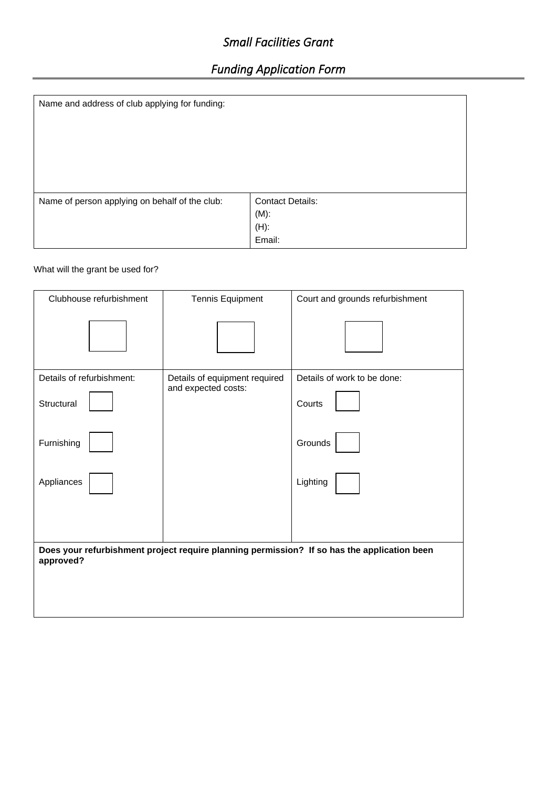## *Small Facilities Grant*

# *Funding Application Form*

| Name and address of club applying for funding: |                         |
|------------------------------------------------|-------------------------|
| Name of person applying on behalf of the club: | <b>Contact Details:</b> |
|                                                | $(M)$ :                 |
|                                                | $(H)$ :<br>Email:       |

#### What will the grant be used for?

| Clubhouse refurbishment                                                                                  | <b>Tennis Equipment</b>       | Court and grounds refurbishment |
|----------------------------------------------------------------------------------------------------------|-------------------------------|---------------------------------|
|                                                                                                          |                               |                                 |
| Details of refurbishment:                                                                                | Details of equipment required | Details of work to be done:     |
| Structural                                                                                               | and expected costs:           | Courts                          |
| Furnishing                                                                                               |                               | Grounds                         |
| Appliances                                                                                               |                               | Lighting                        |
|                                                                                                          |                               |                                 |
| Does your refurbishment project require planning permission? If so has the application been<br>approved? |                               |                                 |
|                                                                                                          |                               |                                 |